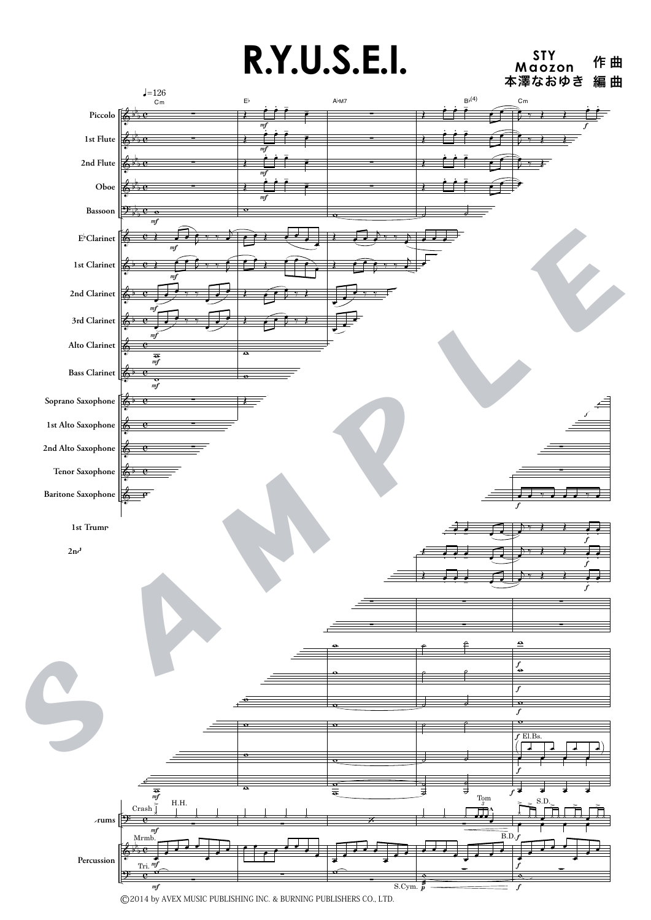## **R.Y.U.S.E.I.** Maozon 作曲